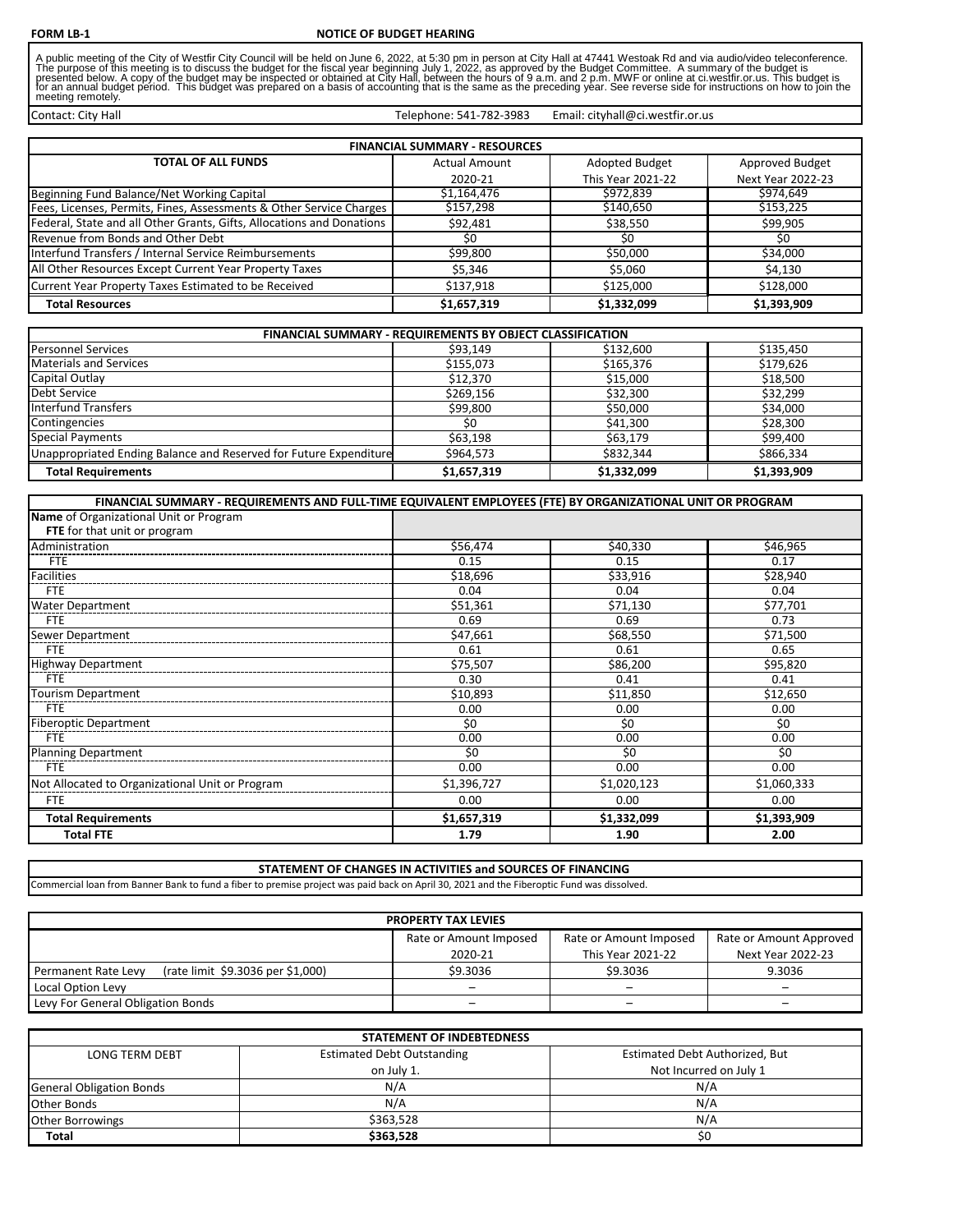A public meeting of the City of Westfir City Council will be held on June 6, 2022, at 5:30 pm in person at City Hall at 47441 Westoak Rd and via audio/video teleconference.<br>The purpose of this meeting is to discuss the bud

Telephone: 541-782-3983

Email: cityhall@ci.westfir.or.us

Contact: City Hall

| <b>FINANCIAL SUMMARY - RESOURCES</b>                                  |                      |                   |                   |
|-----------------------------------------------------------------------|----------------------|-------------------|-------------------|
| <b>TOTAL OF ALL FUNDS</b>                                             | <b>Actual Amount</b> | Adopted Budget    | Approved Budget   |
|                                                                       | 2020-21              | This Year 2021-22 | Next Year 2022-23 |
| Beginning Fund Balance/Net Working Capital                            | \$1,164,476          | \$972,839         | \$974,649         |
| Fees, Licenses, Permits, Fines, Assessments & Other Service Charges   | \$157,298            | \$140,650         | \$153,225         |
| Federal, State and all Other Grants, Gifts, Allocations and Donations | \$92,481             | \$38,550          | \$99,905          |
| Revenue from Bonds and Other Debt                                     | \$0                  | S0                | \$0               |
| Interfund Transfers / Internal Service Reimbursements                 | \$99,800             | \$50,000          | \$34,000          |
| All Other Resources Except Current Year Property Taxes                | \$5.346              | \$5.060           | \$4,130           |
| Current Year Property Taxes Estimated to be Received                  | \$137.918            | \$125,000         | \$128,000         |
| <b>Total Resources</b>                                                | \$1,657,319          | \$1,332,099       | \$1,393,909       |

| FINANCIAL SUMMARY - REQUIREMENTS BY OBJECT CLASSIFICATION         |             |             |             |
|-------------------------------------------------------------------|-------------|-------------|-------------|
| <b>Personnel Services</b>                                         | \$93.149    | \$132,600   | \$135,450   |
| <b>Materials and Services</b>                                     | \$155,073   | \$165,376   | \$179,626   |
| Capital Outlay                                                    | \$12,370    | \$15,000    | \$18,500    |
| Debt Service                                                      | \$269,156   | \$32,300    | \$32,299    |
| <b>Interfund Transfers</b>                                        | \$99,800    | \$50,000    | \$34,000    |
| Contingencies                                                     | \$0         | \$41,300    | \$28,300    |
| <b>Special Payments</b>                                           | \$63,198    | \$63,179    | \$99,400    |
| Unappropriated Ending Balance and Reserved for Future Expenditure | \$964.573   | \$832,344   | \$866,334   |
| <b>Total Requirements</b>                                         | \$1,657,319 | \$1,332,099 | \$1,393,909 |

| FINANCIAL SUMMARY - REQUIREMENTS AND FULL-TIME EQUIVALENT EMPLOYEES (FTE) BY ORGANIZATIONAL UNIT OR PROGRAM |             |             |             |
|-------------------------------------------------------------------------------------------------------------|-------------|-------------|-------------|
| Name of Organizational Unit or Program                                                                      |             |             |             |
| FTE for that unit or program                                                                                |             |             |             |
| Administration                                                                                              | \$56,474    | \$40,330    | \$46,965    |
| FTE                                                                                                         | 0.15        | 0.15        | 0.17        |
| <b>Facilities</b>                                                                                           | \$18,696    | \$33,916    | \$28,940    |
| <b>FTE</b>                                                                                                  | 0.04        | 0.04        | 0.04        |
| <b>Water Department</b>                                                                                     | \$51,361    | \$71,130    | \$77,701    |
| <b>FTE</b>                                                                                                  | 0.69        | 0.69        | 0.73        |
| Sewer Department                                                                                            | \$47,661    | \$68,550    | \$71,500    |
| <b>FTE</b>                                                                                                  | 0.61        | 0.61        | 0.65        |
| <b>Highway Department</b>                                                                                   | \$75,507    | \$86,200    | \$95,820    |
| <b>FTE</b>                                                                                                  | 0.30        | 0.41        | 0.41        |
| <b>Tourism Department</b>                                                                                   | \$10,893    | \$11,850    | \$12,650    |
| <b>FTE</b>                                                                                                  | 0.00        | 0.00        | 0.00        |
| <b>Fiberoptic Department</b>                                                                                | \$0         | \$0         | \$0         |
| <b>FTE</b>                                                                                                  | 0.00        | 0.00        | 0.00        |
| <b>Planning Department</b>                                                                                  | \$0         | \$0         | \$0         |
| <b>FTE</b>                                                                                                  | 0.00        | 0.00        | 0.00        |
| Not Allocated to Organizational Unit or Program                                                             | \$1,396,727 | \$1,020,123 | \$1,060,333 |
| <b>FTE</b>                                                                                                  | 0.00        | 0.00        | 0.00        |
| <b>Total Requirements</b>                                                                                   | \$1,657,319 | \$1,332,099 | \$1,393,909 |
| <b>Total FTE</b>                                                                                            | 1.79        | 1.90        | 2.00        |

Commercial loan from Banner Bank to fund a fiber to premise project was paid back on April 30, 2021 and the Fiberoptic Fund was dissolved. **STATEMENT OF CHANGES IN ACTIVITIES and SOURCES OF FINANCING** 

| <b>PROPERTY TAX LEVIES</b>                               |                        |                        |                         |
|----------------------------------------------------------|------------------------|------------------------|-------------------------|
|                                                          | Rate or Amount Imposed | Rate or Amount Imposed | Rate or Amount Approved |
|                                                          | 2020-21                | This Year 2021-22      | Next Year 2022-23       |
| (rate limit \$9.3036 per \$1,000)<br>Permanent Rate Levy | \$9.3036               | \$9.3036               | 9.3036                  |
| Local Option Levy                                        |                        |                        |                         |
| Levy For General Obligation Bonds                        |                        |                        | -                       |

| <b>STATEMENT OF INDEBTEDNESS</b> |                                   |                                |  |
|----------------------------------|-----------------------------------|--------------------------------|--|
| <b>LONG TERM DEBT</b>            | <b>Estimated Debt Outstanding</b> | Estimated Debt Authorized, But |  |
|                                  | on July 1.                        | Not Incurred on July 1         |  |
| <b>General Obligation Bonds</b>  | N/A                               | N/A                            |  |
| Other Bonds                      | N/A                               | N/A                            |  |
| <b>Other Borrowings</b>          | \$363.528                         | N/A                            |  |
| <b>Total</b>                     | \$363,528                         | S <sub>0</sub>                 |  |